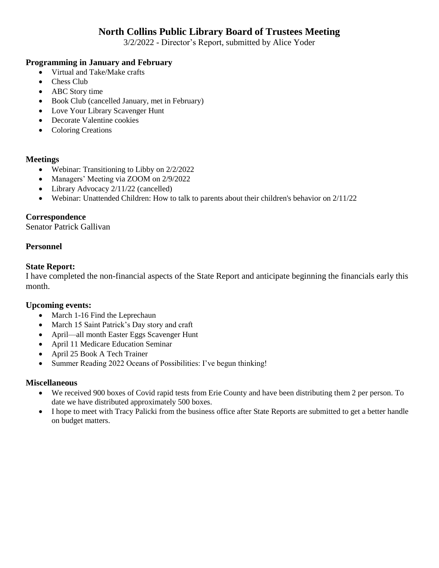# **North Collins Public Library Board of Trustees Meeting**

3/2/2022 - Director's Report, submitted by Alice Yoder

### **Programming in January and February**

- Virtual and Take/Make crafts
- Chess Club
- ABC Story time
- Book Club (cancelled January, met in February)
- Love Your Library Scavenger Hunt
- Decorate Valentine cookies
- Coloring Creations

#### **Meetings**

- Webinar: Transitioning to Libby on 2/2/2022
- Managers' Meeting via ZOOM on 2/9/2022
- Library Advocacy 2/11/22 (cancelled)
- Webinar: Unattended Children: How to talk to parents about their children's behavior on 2/11/22

### **Correspondence**

Senator Patrick Gallivan

#### **Personnel**

#### **State Report:**

I have completed the non-financial aspects of the State Report and anticipate beginning the financials early this month.

#### **Upcoming events:**

- March 1-16 Find the Leprechaun
- March 15 Saint Patrick's Day story and craft
- April—all month Easter Eggs Scavenger Hunt
- April 11 Medicare Education Seminar
- April 25 Book A Tech Trainer
- Summer Reading 2022 Oceans of Possibilities: I've begun thinking!

#### **Miscellaneous**

- We received 900 boxes of Covid rapid tests from Erie County and have been distributing them 2 per person. To date we have distributed approximately 500 boxes.
- I hope to meet with Tracy Palicki from the business office after State Reports are submitted to get a better handle on budget matters.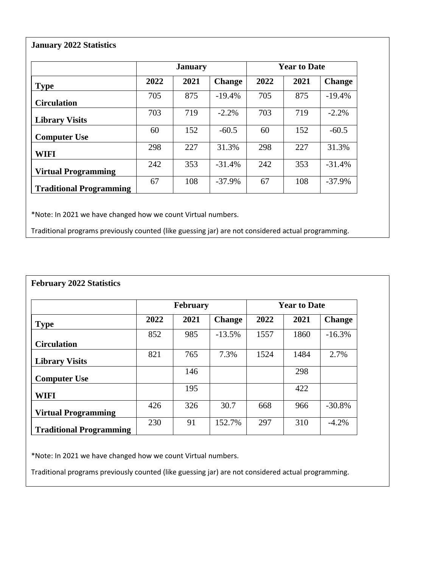## **January 2022 Statistics**

|                                | <b>January</b> |      |               | <b>Year to Date</b> |      |               |
|--------------------------------|----------------|------|---------------|---------------------|------|---------------|
| <b>Type</b>                    | 2022           | 2021 | <b>Change</b> | 2022                | 2021 | <b>Change</b> |
| <b>Circulation</b>             | 705            | 875  | $-19.4%$      | 705                 | 875  | $-19.4%$      |
| <b>Library Visits</b>          | 703            | 719  | $-2.2\%$      | 703                 | 719  | $-2.2\%$      |
| <b>Computer Use</b>            | 60             | 152  | $-60.5$       | 60                  | 152  | $-60.5$       |
| <b>WIFI</b>                    | 298            | 227  | 31.3%         | 298                 | 227  | 31.3%         |
| <b>Virtual Programming</b>     | 242            | 353  | $-31.4%$      | 242                 | 353  | $-31.4%$      |
| <b>Traditional Programming</b> | 67             | 108  | $-37.9%$      | 67                  | 108  | $-37.9%$      |

\*Note: In 2021 we have changed how we count Virtual numbers.

Traditional programs previously counted (like guessing jar) are not considered actual programming.

|                                | <b>February</b> |      |               | <b>Year to Date</b> |      |               |  |
|--------------------------------|-----------------|------|---------------|---------------------|------|---------------|--|
| <b>Type</b>                    | 2022            | 2021 | <b>Change</b> | 2022                | 2021 | <b>Change</b> |  |
|                                | 852             | 985  | $-13.5%$      | 1557                | 1860 | $-16.3%$      |  |
| <b>Circulation</b>             |                 |      |               |                     |      |               |  |
| <b>Library Visits</b>          | 821             | 765  | 7.3%          | 1524                | 1484 | 2.7%          |  |
| <b>Computer Use</b>            |                 | 146  |               |                     | 298  |               |  |
| WIFI                           |                 | 195  |               |                     | 422  |               |  |
| <b>Virtual Programming</b>     | 426             | 326  | 30.7          | 668                 | 966  | $-30.8%$      |  |
| <b>Traditional Programming</b> | 230             | 91   | 152.7%        | 297                 | 310  | $-4.2\%$      |  |

\*Note: In 2021 we have changed how we count Virtual numbers.

Traditional programs previously counted (like guessing jar) are not considered actual programming.